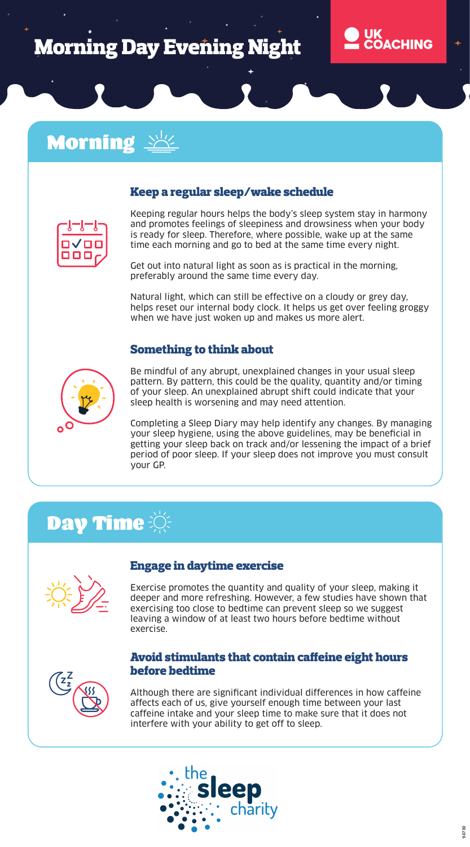# **Morning Day Evening Night**



### **Morning**

#### Keep a regular sleep/wake schedule



Keeping regular hours helps the body's sleep system stay in harmony and promotes feelings of sleepiness and drowsiness when your body is ready for sleep. Therefore, where possible, wake up at the same time each morning and go to bed at the same time every night.

Get out into natural light as soon as is practical in the morning, preferably around the same time every day.

Natural light, which can still be effective on a cloudy or grey day, helps reset our internal body clock. It helps us get over feeling groggy when we have just woken up and makes us more alert.

#### Something to think about



Be mindful of any abrupt, unexplained changes in your usual sleep pattern. By pattern, this could be the quality, quantity and/or timing of your sleep. An unexplained abrupt shift could indicate that your sleep health is worsening and may need attention.

Completing a Sleep Diary may help identify any changes. By managing your sleep hygiene, using the above guidelines, may be beneficial in getting your sleep back on track and/or lessening the impact of a brief period of poor sleep. If your sleep does not improve you must consult your GP.

# Day Time



#### Engage in daytime exercise

Exercise promotes the quantity and quality of your sleep, making it deeper and more refreshing. However, a few studies have shown that exercising too close to bedtime can prevent sleep so we suggest leaving a window of at least two hours before bedtime without exercise.

#### Avoid stimulants that contain caffeine eight hours before bedtime



Although there are significant individual differences in how caffeine affects each of us, give yourself enough time between your last caffeine intake and your sleep time to make sure that it does not interfere with your ability to get off to sleep.

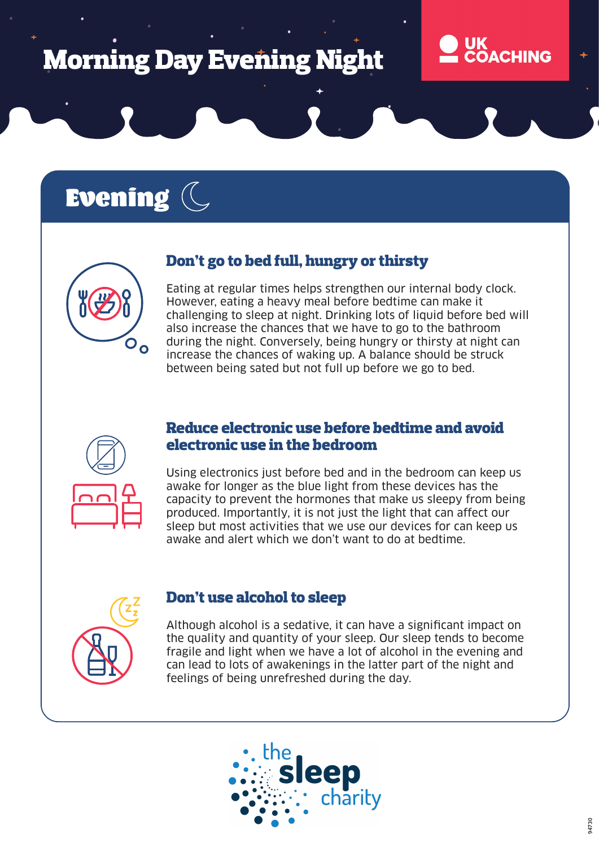# **Morning Day Evening Night**

# Evening (



Eating at regular times helps strengthen our internal body clock. However, eating a heavy meal before bedtime can make it challenging to sleep at night. Drinking lots of liquid before bed will also increase the chances that we have to go to the bathroom Oo during the night. Conversely, being hungry or thirsty at night can increase the chances of waking up. A balance should be struck between being sated but not full up before we go to bed.



#### Reduce electronic use before bedtime and avoid electronic use in the bedroom

Using electronics just before bed and in the bedroom can keep us awake for longer as the blue light from these devices has the capacity to prevent the hormones that make us sleepy from being produced. Importantly, it is not just the light that can affect our sleep but most activities that we use our devices for can keep us awake and alert which we don't want to do at bedtime.



#### Don't use alcohol to sleep

Although alcohol is a sedative, it can have a significant impact on the quality and quantity of your sleep. Our sleep tends to become fragile and light when we have a lot of alcohol in the evening and can lead to lots of awakenings in the latter part of the night and feelings of being unrefreshed during the day.